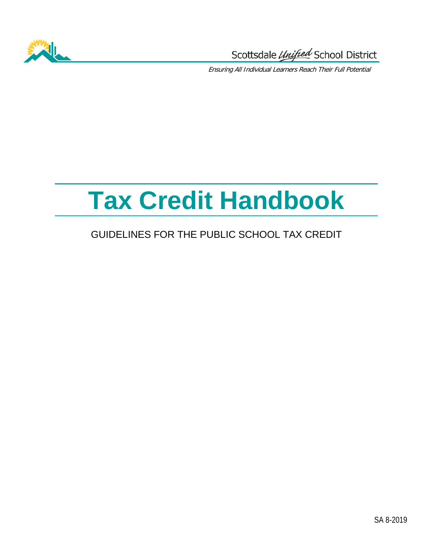

Scottsdale Unified School District

Ensuring All Individual Learners Reach Their Full Potential

# **Tax Credit Handbook**

### GUIDELINES FOR THE PUBLIC SCHOOL TAX CREDIT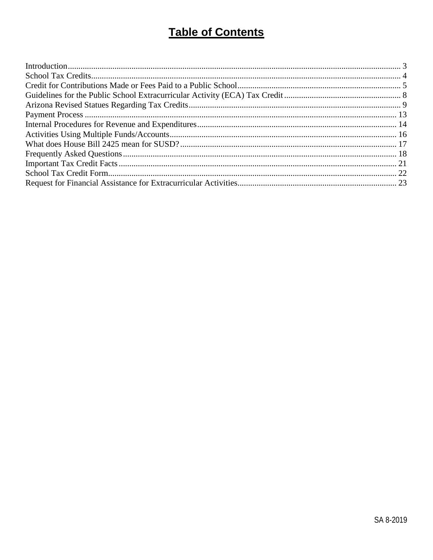# **Table of Contents**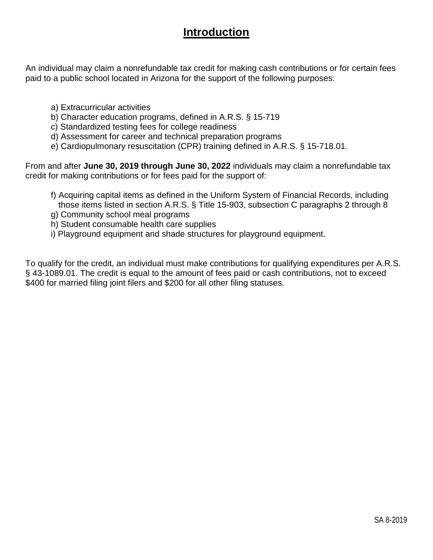### **Introduction**

<span id="page-2-0"></span>An individual may claim a nonrefundable tax credit for making cash contributions or for certain fees paid to a public school located in Arizona for the support of the following purposes:

- a) Extracurricular activities
- b) Character education programs, defined in A.R.S. § 15-719
- c) Standardized testing fees for college readiness
- d) Assessment for career and technical preparation programs
- e) Cardiopulmonary resuscitation (CPR) training defined in A.R.S. § 15-718.01.

From and after **June 30, 2019 through June 30, 2022** individuals may claim a nonrefundable tax credit for making contributions or for fees paid for the support of:

- f) Acquiring capital items as defined in the Uniform System of Financial Records, including those items listed in section A.R.S. § Title 15-903, subsection C paragraphs 2 through 8
- g) Community school meal programs
- h) Student consumable health care supplies
- i) Playground equipment and shade structures for playground equipment.

To qualify for the credit, an individual must make contributions for qualifying expenditures per A.R.S. § 43-1089.01. The credit is equal to the amount of fees paid or cash contributions, not to exceed \$400 for married filing joint filers and \$200 for all other filing statuses.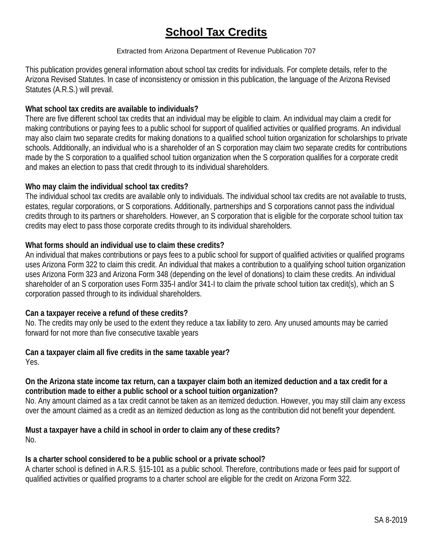# **School Tax Credits**

#### Extracted from Arizona Department of Revenue Publication 707

<span id="page-3-0"></span>This publication provides general information about school tax credits for individuals. For complete details, refer to the Arizona Revised Statutes. In case of inconsistency or omission in this publication, the language of the Arizona Revised Statutes (A.R.S.) will prevail.

### **What school tax credits are available to individuals?**

There are five different school tax credits that an individual may be eligible to claim. An individual may claim a credit for making contributions or paying fees to a public school for support of qualified activities or qualified programs. An individual may also claim two separate credits for making donations to a qualified school tuition organization for scholarships to private schools. Additionally, an individual who is a shareholder of an S corporation may claim two separate credits for contributions made by the S corporation to a qualified school tuition organization when the S corporation qualifies for a corporate credit and makes an election to pass that credit through to its individual shareholders.

### **Who may claim the individual school tax credits?**

The individual school tax credits are available only to individuals. The individual school tax credits are not available to trusts, estates, regular corporations, or S corporations. Additionally, partnerships and S corporations cannot pass the individual credits through to its partners or shareholders. However, an S corporation that is eligible for the corporate school tuition tax credits may elect to pass those corporate credits through to its individual shareholders.

### **What forms should an individual use to claim these credits?**

An individual that makes contributions or pays fees to a public school for support of qualified activities or qualified programs uses Arizona Form 322 to claim this credit. An individual that makes a contribution to a qualifying school tuition organization uses Arizona Form 323 and Arizona Form 348 (depending on the level of donations) to claim these credits. An individual shareholder of an S corporation uses Form 335-I and/or 341-I to claim the private school tuition tax credit(s), which an S corporation passed through to its individual shareholders.

### **Can a taxpayer receive a refund of these credits?**

No. The credits may only be used to the extent they reduce a tax liability to zero. Any unused amounts may be carried forward for not more than five consecutive taxable years

**Can a taxpayer claim all five credits in the same taxable year?**  Yes.

### **On the Arizona state income tax return, can a taxpayer claim both an itemized deduction and a tax credit for a contribution made to either a public school or a school tuition organization?**

No. Any amount claimed as a tax credit cannot be taken as an itemized deduction. However, you may still claim any excess over the amount claimed as a credit as an itemized deduction as long as the contribution did not benefit your dependent.

#### **Must a taxpayer have a child in school in order to claim any of these credits?**  No.

### **Is a charter school considered to be a public school or a private school?**

A charter school is defined in A.R.S. §15-101 as a public school. Therefore, contributions made or fees paid for support of qualified activities or qualified programs to a charter school are eligible for the credit on Arizona Form 322.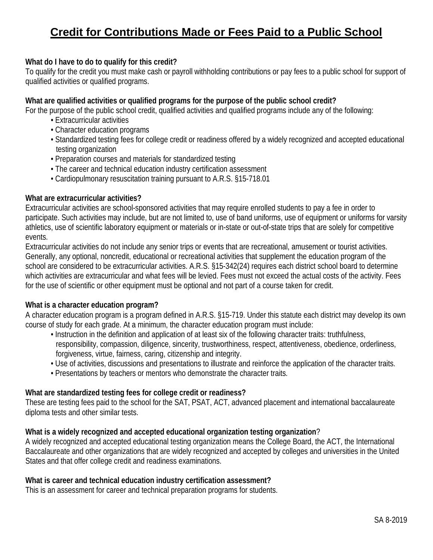# <span id="page-4-0"></span>**Credit for Contributions Made or Fees Paid to a Public School**

### **What do I have to do to qualify for this credit?**

To qualify for the credit you must make cash or payroll withholding contributions or pay fees to a public school for support of qualified activities or qualified programs.

### **What are qualified activities or qualified programs for the purpose of the public school credit?**

For the purpose of the public school credit, qualified activities and qualified programs include any of the following:

- Extracurricular activities
- Character education programs
- Standardized testing fees for college credit or readiness offered by a widely recognized and accepted educational testing organization
- Preparation courses and materials for standardized testing
- The career and technical education industry certification assessment
- Cardiopulmonary resuscitation training pursuant to A.R.S. §15-718.01

#### **What are extracurricular activities?**

Extracurricular activities are school-sponsored activities that may require enrolled students to pay a fee in order to participate. Such activities may include, but are not limited to, use of band uniforms, use of equipment or uniforms for varsity athletics, use of scientific laboratory equipment or materials or in-state or out-of-state trips that are solely for competitive events.

Extracurricular activities do not include any senior trips or events that are recreational, amusement or tourist activities. Generally, any optional, noncredit, educational or recreational activities that supplement the education program of the school are considered to be extracurricular activities. A.R.S. §15-342(24) requires each district school board to determine which activities are extracurricular and what fees will be levied. Fees must not exceed the actual costs of the activity. Fees for the use of scientific or other equipment must be optional and not part of a course taken for credit.

#### **What is a character education program?**

A character education program is a program defined in A.R.S. §15-719. Under this statute each district may develop its own course of study for each grade. At a minimum, the character education program must include:

- Instruction in the definition and application of at least six of the following character traits: truthfulness, responsibility, compassion, diligence, sincerity, trustworthiness, respect, attentiveness, obedience, orderliness, forgiveness, virtue, fairness, caring, citizenship and integrity.
- Use of activities, discussions and presentations to illustrate and reinforce the application of the character traits.
- Presentations by teachers or mentors who demonstrate the character traits.

#### **What are standardized testing fees for college credit or readiness?**

These are testing fees paid to the school for the SAT, PSAT, ACT, advanced placement and international baccalaureate diploma tests and other similar tests.

#### **What is a widely recognized and accepted educational organization testing organization**?

A widely recognized and accepted educational testing organization means the College Board, the ACT, the International Baccalaureate and other organizations that are widely recognized and accepted by colleges and universities in the United States and that offer college credit and readiness examinations.

#### **What is career and technical education industry certification assessment?**

This is an assessment for career and technical preparation programs for students.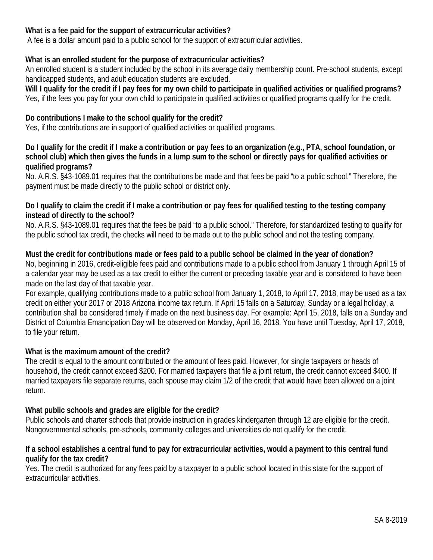### **What is a fee paid for the support of extracurricular activities?**

A fee is a dollar amount paid to a public school for the support of extracurricular activities.

### **What is an enrolled student for the purpose of extracurricular activities?**

An enrolled student is a student included by the school in its average daily membership count. Pre-school students, except handicapped students, and adult education students are excluded.

**Will I qualify for the credit if I pay fees for my own child to participate in qualified activities or qualified programs?**  Yes, if the fees you pay for your own child to participate in qualified activities or qualified programs qualify for the credit.

### **Do contributions I make to the school qualify for the credit?**

Yes, if the contributions are in support of qualified activities or qualified programs.

### **Do I qualify for the credit if I make a contribution or pay fees to an organization (e.g., PTA, school foundation, or school club) which then gives the funds in a lump sum to the school or directly pays for qualified activities or qualified programs?**

No. A.R.S. §43-1089.01 requires that the contributions be made and that fees be paid "to a public school." Therefore, the payment must be made directly to the public school or district only.

### **Do I qualify to claim the credit if I make a contribution or pay fees for qualified testing to the testing company instead of directly to the school?**

No. A.R.S. §43-1089.01 requires that the fees be paid "to a public school." Therefore, for standardized testing to qualify for the public school tax credit, the checks will need to be made out to the public school and not the testing company.

### **Must the credit for contributions made or fees paid to a public school be claimed in the year of donation?**

No, beginning in 2016, credit-eligible fees paid and contributions made to a public school from January 1 through April 15 of a calendar year may be used as a tax credit to either the current or preceding taxable year and is considered to have been made on the last day of that taxable year.

For example, qualifying contributions made to a public school from January 1, 2018, to April 17, 2018, may be used as a tax credit on either your 2017 or 2018 Arizona income tax return. If April 15 falls on a Saturday, Sunday or a legal holiday, a contribution shall be considered timely if made on the next business day. For example: April 15, 2018, falls on a Sunday and District of Columbia Emancipation Day will be observed on Monday, April 16, 2018. You have until Tuesday, April 17, 2018, to file your return.

### **What is the maximum amount of the credit?**

The credit is equal to the amount contributed or the amount of fees paid. However, for single taxpayers or heads of household, the credit cannot exceed \$200. For married taxpayers that file a joint return, the credit cannot exceed \$400. If married taxpayers file separate returns, each spouse may claim 1/2 of the credit that would have been allowed on a joint return.

### **What public schools and grades are eligible for the credit?**

Public schools and charter schools that provide instruction in grades kindergarten through 12 are eligible for the credit. Nongovernmental schools, pre-schools, community colleges and universities do not qualify for the credit.

### **If a school establishes a central fund to pay for extracurricular activities, would a payment to this central fund qualify for the tax credit?**

Yes. The credit is authorized for any fees paid by a taxpayer to a public school located in this state for the support of extracurricular activities.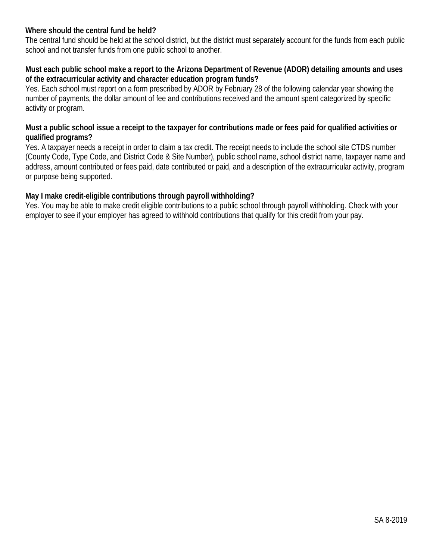### **Where should the central fund be held?**

The central fund should be held at the school district, but the district must separately account for the funds from each public school and not transfer funds from one public school to another.

### **Must each public school make a report to the Arizona Department of Revenue (ADOR) detailing amounts and uses of the extracurricular activity and character education program funds?**

Yes. Each school must report on a form prescribed by ADOR by February 28 of the following calendar year showing the number of payments, the dollar amount of fee and contributions received and the amount spent categorized by specific activity or program.

### **Must a public school issue a receipt to the taxpayer for contributions made or fees paid for qualified activities or qualified programs?**

Yes. A taxpayer needs a receipt in order to claim a tax credit. The receipt needs to include the school site CTDS number (County Code, Type Code, and District Code & Site Number), public school name, school district name, taxpayer name and address, amount contributed or fees paid, date contributed or paid, and a description of the extracurricular activity, program or purpose being supported.

### **May I make credit-eligible contributions through payroll withholding?**

Yes. You may be able to make credit eligible contributions to a public school through payroll withholding. Check with your employer to see if your employer has agreed to withhold contributions that qualify for this credit from your pay.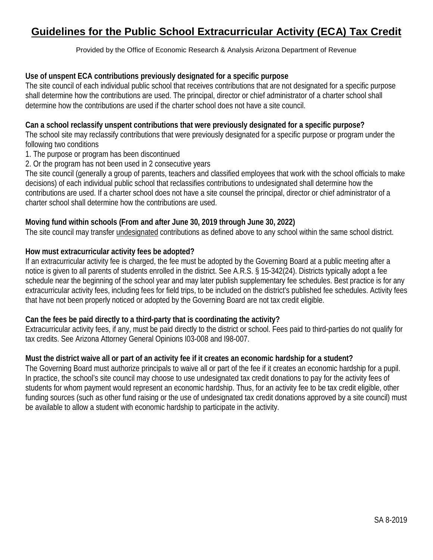### <span id="page-7-0"></span>**Guidelines for the Public School Extracurricular Activity (ECA) Tax Credit**

Provided by the Office of Economic Research & Analysis Arizona Department of Revenue

### **Use of unspent ECA contributions previously designated for a specific purpose**

The site council of each individual public school that receives contributions that are not designated for a specific purpose shall determine how the contributions are used. The principal, director or chief administrator of a charter school shall determine how the contributions are used if the charter school does not have a site council.

### **Can a school reclassify unspent contributions that were previously designated for a specific purpose?**

The school site may reclassify contributions that were previously designated for a specific purpose or program under the following two conditions

1. The purpose or program has been discontinued

2. Or the program has not been used in 2 consecutive years

The site council (generally a group of parents, teachers and classified employees that work with the school officials to make decisions) of each individual public school that reclassifies contributions to undesignated shall determine how the contributions are used. If a charter school does not have a site counsel the principal, director or chief administrator of a charter school shall determine how the contributions are used.

### **Moving fund within schools (From and after June 30, 2019 through June 30, 2022)**

The site council may transfer undesignated contributions as defined above to any school within the same school district.

### **How must extracurricular activity fees be adopted?**

If an extracurricular activity fee is charged, the fee must be adopted by the Governing Board at a public meeting after a notice is given to all parents of students enrolled in the district. See A.R.S. § 15-342(24). Districts typically adopt a fee schedule near the beginning of the school year and may later publish supplementary fee schedules. Best practice is for any extracurricular activity fees, including fees for field trips, to be included on the district's published fee schedules. Activity fees that have not been properly noticed or adopted by the Governing Board are not tax credit eligible.

### **Can the fees be paid directly to a third-party that is coordinating the activity?**

Extracurricular activity fees, if any, must be paid directly to the district or school. Fees paid to third-parties do not qualify for tax credits. See Arizona Attorney General Opinions I03-008 and I98-007.

### **Must the district waive all or part of an activity fee if it creates an economic hardship for a student?**

The Governing Board must authorize principals to waive all or part of the fee if it creates an economic hardship for a pupil. In practice, the school's site council may choose to use undesignated tax credit donations to pay for the activity fees of students for whom payment would represent an economic hardship. Thus, for an activity fee to be tax credit eligible, other funding sources (such as other fund raising or the use of undesignated tax credit donations approved by a site council) must be available to allow a student with economic hardship to participate in the activity.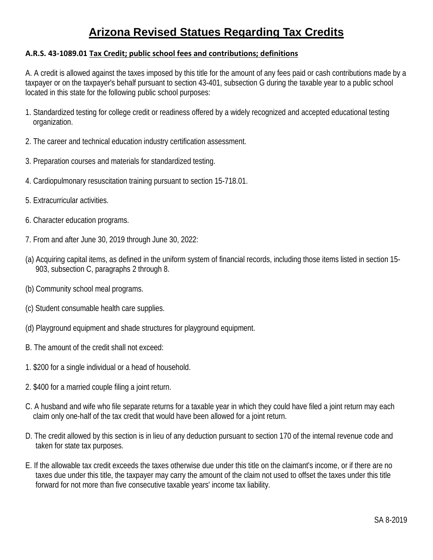# **Arizona Revised Statues Regarding Tax Credits**

### <span id="page-8-0"></span>**A.R.S. 43-1089.01 Tax Credit; public school fees and contributions; definitions**

A. A credit is allowed against the taxes imposed by this title for the amount of any fees paid or cash contributions made by a taxpayer or on the taxpayer's behalf pursuant to section 43-401, subsection G during the taxable year to a public school located in this state for the following public school purposes:

- 1. Standardized testing for college credit or readiness offered by a widely recognized and accepted educational testing organization.
- 2. The career and technical education industry certification assessment.
- 3. Preparation courses and materials for standardized testing.
- 4. Cardiopulmonary resuscitation training pursuant to section 15-718.01.
- 5. Extracurricular activities.
- 6. Character education programs.
- 7. From and after June 30, 2019 through June 30, 2022:
- (a) Acquiring capital items, as defined in the uniform system of financial records, including those items listed in section 15- 903, subsection C, paragraphs 2 through 8.
- (b) Community school meal programs.
- (c) Student consumable health care supplies.
- (d) Playground equipment and shade structures for playground equipment.
- B. The amount of the credit shall not exceed:
- 1. \$200 for a single individual or a head of household.
- 2. \$400 for a married couple filing a joint return.
- C. A husband and wife who file separate returns for a taxable year in which they could have filed a joint return may each claim only one-half of the tax credit that would have been allowed for a joint return.
- D. The credit allowed by this section is in lieu of any deduction pursuant to section 170 of the internal revenue code and taken for state tax purposes.
- E. If the allowable tax credit exceeds the taxes otherwise due under this title on the claimant's income, or if there are no taxes due under this title, the taxpayer may carry the amount of the claim not used to offset the taxes under this title forward for not more than five consecutive taxable years' income tax liability.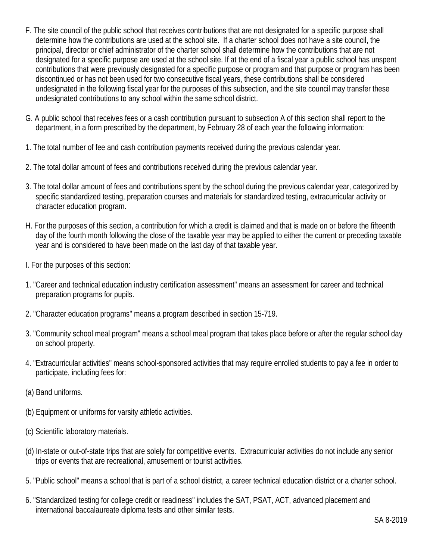- F. The site council of the public school that receives contributions that are not designated for a specific purpose shall determine how the contributions are used at the school site. If a charter school does not have a site council, the principal, director or chief administrator of the charter school shall determine how the contributions that are not designated for a specific purpose are used at the school site. If at the end of a fiscal year a public school has unspent contributions that were previously designated for a specific purpose or program and that purpose or program has been discontinued or has not been used for two consecutive fiscal years, these contributions shall be considered undesignated in the following fiscal year for the purposes of this subsection, and the site council may transfer these undesignated contributions to any school within the same school district.
- G. A public school that receives fees or a cash contribution pursuant to subsection A of this section shall report to the department, in a form prescribed by the department, by February 28 of each year the following information:
- 1. The total number of fee and cash contribution payments received during the previous calendar year.
- 2. The total dollar amount of fees and contributions received during the previous calendar year.
- 3. The total dollar amount of fees and contributions spent by the school during the previous calendar year, categorized by specific standardized testing, preparation courses and materials for standardized testing, extracurricular activity or character education program.
- H. For the purposes of this section, a contribution for which a credit is claimed and that is made on or before the fifteenth day of the fourth month following the close of the taxable year may be applied to either the current or preceding taxable year and is considered to have been made on the last day of that taxable year.
- I. For the purposes of this section:
- 1. "Career and technical education industry certification assessment" means an assessment for career and technical preparation programs for pupils.
- 2. "Character education programs" means a program described in section 15-719.
- 3. "Community school meal program" means a school meal program that takes place before or after the regular school day on school property.
- 4. "Extracurricular activities" means school-sponsored activities that may require enrolled students to pay a fee in order to participate, including fees for:
- (a) Band uniforms.
- (b) Equipment or uniforms for varsity athletic activities.
- (c) Scientific laboratory materials.
- (d) In-state or out-of-state trips that are solely for competitive events. Extracurricular activities do not include any senior trips or events that are recreational, amusement or tourist activities.
- 5. "Public school" means a school that is part of a school district, a career technical education district or a charter school.
- 6. "Standardized testing for college credit or readiness" includes the SAT, PSAT, ACT, advanced placement and international baccalaureate diploma tests and other similar tests.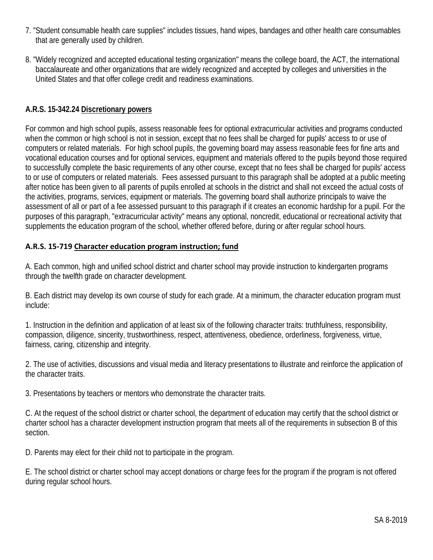- 7. "Student consumable health care supplies" includes tissues, hand wipes, bandages and other health care consumables that are generally used by children.
- 8. "Widely recognized and accepted educational testing organization" means the college board, the ACT, the international baccalaureate and other organizations that are widely recognized and accepted by colleges and universities in the United States and that offer college credit and readiness examinations.

### **A.R.S. 15-342.24 Discretionary powers**

For common and high school pupils, assess reasonable fees for optional extracurricular activities and programs conducted when the common or high school is not in session, except that no fees shall be charged for pupils' access to or use of computers or related materials. For high school pupils, the governing board may assess reasonable fees for fine arts and vocational education courses and for optional services, equipment and materials offered to the pupils beyond those required to successfully complete the basic requirements of any other course, except that no fees shall be charged for pupils' access to or use of computers or related materials. Fees assessed pursuant to this paragraph shall be adopted at a public meeting after notice has been given to all parents of pupils enrolled at schools in the district and shall not exceed the actual costs of the activities, programs, services, equipment or materials. The governing board shall authorize principals to waive the assessment of all or part of a fee assessed pursuant to this paragraph if it creates an economic hardship for a pupil. For the purposes of this paragraph, "extracurricular activity" means any optional, noncredit, educational or recreational activity that supplements the education program of the school, whether offered before, during or after regular school hours.

### **A.R.S. 15-719 Character education program instruction; fund**

A. Each common, high and unified school district and charter school may provide instruction to kindergarten programs through the twelfth grade on character development.

B. Each district may develop its own course of study for each grade. At a minimum, the character education program must include:

1. Instruction in the definition and application of at least six of the following character traits: truthfulness, responsibility, compassion, diligence, sincerity, trustworthiness, respect, attentiveness, obedience, orderliness, forgiveness, virtue, fairness, caring, citizenship and integrity.

2. The use of activities, discussions and visual media and literacy presentations to illustrate and reinforce the application of the character traits.

3. Presentations by teachers or mentors who demonstrate the character traits.

C. At the request of the school district or charter school, the department of education may certify that the school district or charter school has a character development instruction program that meets all of the requirements in subsection B of this section.

D. Parents may elect for their child not to participate in the program.

E. The school district or charter school may accept donations or charge fees for the program if the program is not offered during regular school hours.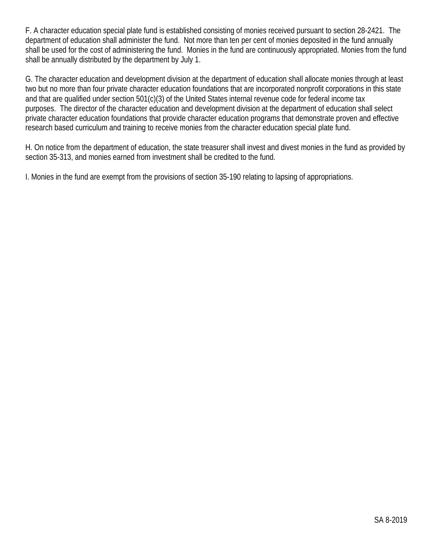F. A character education special plate fund is established consisting of monies received pursuant to section 28-2421. The department of education shall administer the fund. Not more than ten per cent of monies deposited in the fund annually shall be used for the cost of administering the fund. Monies in the fund are continuously appropriated. Monies from the fund shall be annually distributed by the department by July 1.

G. The character education and development division at the department of education shall allocate monies through at least two but no more than four private character education foundations that are incorporated nonprofit corporations in this state and that are qualified under section 501(c)(3) of the United States internal revenue code for federal income tax purposes. The director of the character education and development division at the department of education shall select private character education foundations that provide character education programs that demonstrate proven and effective research based curriculum and training to receive monies from the character education special plate fund.

H. On notice from the department of education, the state treasurer shall invest and divest monies in the fund as provided by section 35-313, and monies earned from investment shall be credited to the fund.

I. Monies in the fund are exempt from the provisions of section 35-190 relating to lapsing of appropriations.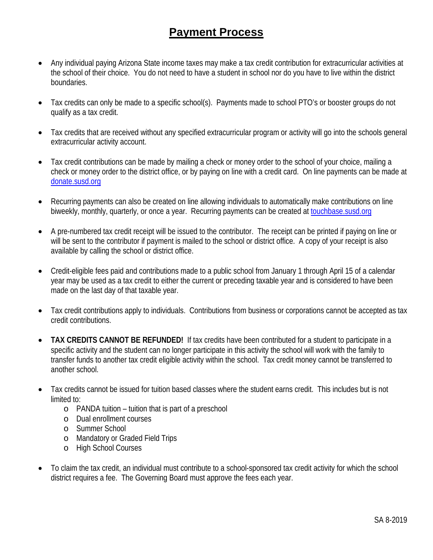### **Payment Process**

- <span id="page-12-0"></span>• Any individual paying Arizona State income taxes may make a tax credit contribution for extracurricular activities at the school of their choice. You do not need to have a student in school nor do you have to live within the district boundaries.
- Tax credits can only be made to a specific school(s). Payments made to school PTO's or booster groups do not qualify as a tax credit.
- Tax credits that are received without any specified extracurricular program or activity will go into the schools general extracurricular activity account.
- Tax credit contributions can be made by mailing a check or money order to the school of your choice, mailing a check or money order to the district office, or by paying on line with a credit card. On line payments can be made at [donate.susd.org](https://touchbase.susd.org/taxcredits)
- Recurring payments can also be created on line allowing individuals to automatically make contributions on line biweekly, monthly, quarterly, or once a year. Recurring payments can be created a[t touchbase.susd.org](https://touchbase.susd.org/touchbase)
- A pre-numbered tax credit receipt will be issued to the contributor. The receipt can be printed if paying on line or will be sent to the contributor if payment is mailed to the school or district office. A copy of your receipt is also available by calling the school or district office.
- Credit-eligible fees paid and contributions made to a public school from January 1 through April 15 of a calendar year may be used as a tax credit to either the current or preceding taxable year and is considered to have been made on the last day of that taxable year.
- Tax credit contributions apply to individuals. Contributions from business or corporations cannot be accepted as tax credit contributions.
- **TAX CREDITS CANNOT BE REFUNDED!** If tax credits have been contributed for a student to participate in a specific activity and the student can no longer participate in this activity the school will work with the family to transfer funds to another tax credit eligible activity within the school. Tax credit money cannot be transferred to another school.
- Tax credits cannot be issued for tuition based classes where the student earns credit. This includes but is not limited to:
	- o PANDA tuition tuition that is part of a preschool
	- o Dual enrollment courses
	- o Summer School
	- o Mandatory or Graded Field Trips
	- o High School Courses
- To claim the tax credit, an individual must contribute to a school-sponsored tax credit activity for which the school district requires a fee. The Governing Board must approve the fees each year.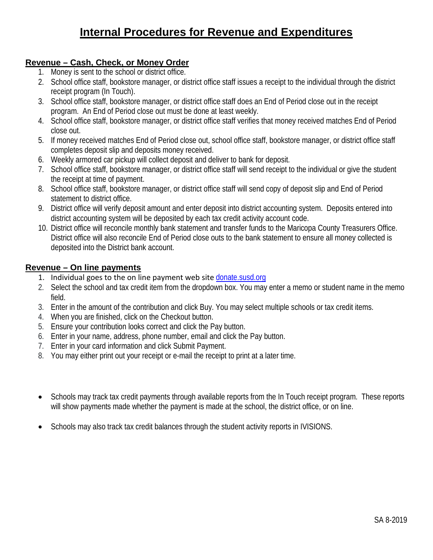### **Internal Procedures for Revenue and Expenditures**

### <span id="page-13-0"></span>**Revenue – Cash, Check, or Money Order**

- 1. Money is sent to the school or district office.
- 2. School office staff, bookstore manager, or district office staff issues a receipt to the individual through the district receipt program (In Touch).
- 3. School office staff, bookstore manager, or district office staff does an End of Period close out in the receipt program. An End of Period close out must be done at least weekly.
- 4. School office staff, bookstore manager, or district office staff verifies that money received matches End of Period close out.
- 5. If money received matches End of Period close out, school office staff, bookstore manager, or district office staff completes deposit slip and deposits money received.
- 6. Weekly armored car pickup will collect deposit and deliver to bank for deposit.
- 7. School office staff, bookstore manager, or district office staff will send receipt to the individual or give the student the receipt at time of payment.
- 8. School office staff, bookstore manager, or district office staff will send copy of deposit slip and End of Period statement to district office.
- 9. District office will verify deposit amount and enter deposit into district accounting system. Deposits entered into district accounting system will be deposited by each tax credit activity account code.
- 10. District office will reconcile monthly bank statement and transfer funds to the Maricopa County Treasurers Office. District office will also reconcile End of Period close outs to the bank statement to ensure all money collected is deposited into the District bank account.

### **Revenue – On line payments**

- 1. Individual goes to the on line payment web site donate.susd.org
- 2. Select the school and tax credit item from the dropdown box. You may enter a memo or student name in the memo field.
- 3. Enter in the amount of the contribution and click Buy. You may select multiple schools or tax credit items.
- 4. When you are finished, click on the Checkout button.
- 5. Ensure your contribution looks correct and click the Pay button.
- 6. Enter in your name, address, phone number, email and click the Pay button.
- 7. Enter in your card information and click Submit Payment.
- 8. You may either print out your receipt or e-mail the receipt to print at a later time.
- Schools may track tax credit payments through available reports from the In Touch receipt program. These reports will show payments made whether the payment is made at the school, the district office, or on line.
- Schools may also track tax credit balances through the student activity reports in IVISIONS.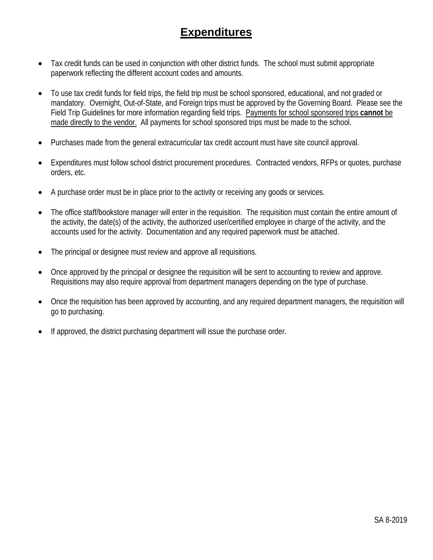### **Expenditures**

- Tax credit funds can be used in conjunction with other district funds. The school must submit appropriate paperwork reflecting the different account codes and amounts.
- To use tax credit funds for field trips, the field trip must be school sponsored, educational, and not graded or mandatory. Overnight, Out-of-State, and Foreign trips must be approved by the Governing Board. Please see the Field Trip Guidelines for more information regarding field trips. Payments for school sponsored trips **cannot** be made directly to the vendor. All payments for school sponsored trips must be made to the school.
- Purchases made from the general extracurricular tax credit account must have site council approval.
- Expenditures must follow school district procurement procedures. Contracted vendors, RFPs or quotes, purchase orders, etc.
- A purchase order must be in place prior to the activity or receiving any goods or services.
- The office staff/bookstore manager will enter in the requisition. The requisition must contain the entire amount of the activity, the date(s) of the activity, the authorized user/certified employee in charge of the activity, and the accounts used for the activity. Documentation and any required paperwork must be attached.
- The principal or designee must review and approve all requisitions.
- Once approved by the principal or designee the requisition will be sent to accounting to review and approve. Requisitions may also require approval from department managers depending on the type of purchase.
- Once the requisition has been approved by accounting, and any required department managers, the requisition will go to purchasing.
- If approved, the district purchasing department will issue the purchase order.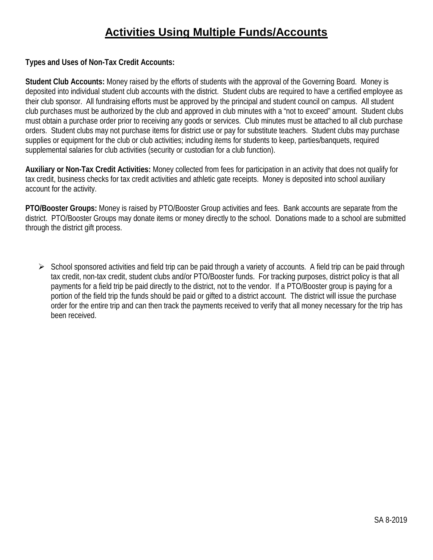### **Activities Using Multiple Funds/Accounts**

<span id="page-15-0"></span>**Types and Uses of Non-Tax Credit Accounts:**

**Student Club Accounts:** Money raised by the efforts of students with the approval of the Governing Board. Money is deposited into individual student club accounts with the district. Student clubs are required to have a certified employee as their club sponsor. All fundraising efforts must be approved by the principal and student council on campus. All student club purchases must be authorized by the club and approved in club minutes with a "not to exceed" amount. Student clubs must obtain a purchase order prior to receiving any goods or services. Club minutes must be attached to all club purchase orders. Student clubs may not purchase items for district use or pay for substitute teachers. Student clubs may purchase supplies or equipment for the club or club activities; including items for students to keep, parties/banquets, required supplemental salaries for club activities (security or custodian for a club function).

**Auxiliary or Non-Tax Credit Activities:** Money collected from fees for participation in an activity that does not qualify for tax credit, business checks for tax credit activities and athletic gate receipts. Money is deposited into school auxiliary account for the activity.

**PTO/Booster Groups:** Money is raised by PTO/Booster Group activities and fees. Bank accounts are separate from the district. PTO/Booster Groups may donate items or money directly to the school. Donations made to a school are submitted through the district gift process.

 $\triangleright$  School sponsored activities and field trip can be paid through a variety of accounts. A field trip can be paid through tax credit, non-tax credit, student clubs and/or PTO/Booster funds. For tracking purposes, district policy is that all payments for a field trip be paid directly to the district, not to the vendor. If a PTO/Booster group is paying for a portion of the field trip the funds should be paid or gifted to a district account. The district will issue the purchase order for the entire trip and can then track the payments received to verify that all money necessary for the trip has been received.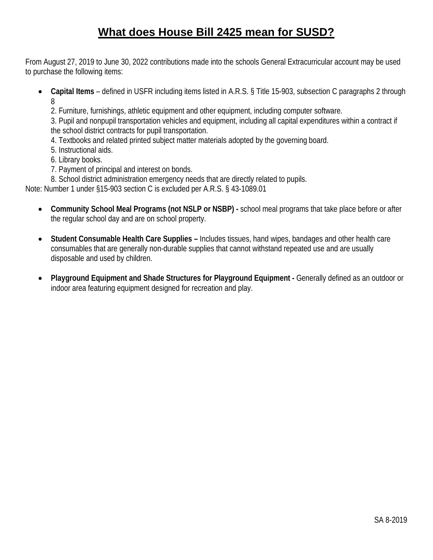# **What does House Bill 2425 mean for SUSD?**

<span id="page-16-0"></span>From August 27, 2019 to June 30, 2022 contributions made into the schools General Extracurricular account may be used to purchase the following items:

- **Capital Items** defined in USFR including items listed in A.R.S. § Title 15-903, subsection C paragraphs 2 through 8
	- 2. Furniture, furnishings, athletic equipment and other equipment, including computer software.

3. Pupil and nonpupil transportation vehicles and equipment, including all capital expenditures within a contract if the school district contracts for pupil transportation.

- 4. Textbooks and related printed subject matter materials adopted by the governing board.
- 5. Instructional aids.
- 6. Library books.
- 7. Payment of principal and interest on bonds.
- 8. School district administration emergency needs that are directly related to pupils.

Note: Number 1 under §15-903 section C is excluded per A.R.S. § 43-1089.01

- **Community School Meal Programs (not NSLP or NSBP) -** school meal programs that take place before or after the regular school day and are on school property.
- **Student Consumable Health Care Supplies –** Includes tissues, hand wipes, bandages and other health care consumables that are generally non-durable supplies that cannot withstand repeated use and are usually disposable and used by children.
- **Playground Equipment and Shade Structures for Playground Equipment -** Generally defined as an outdoor or indoor area featuring equipment designed for recreation and play.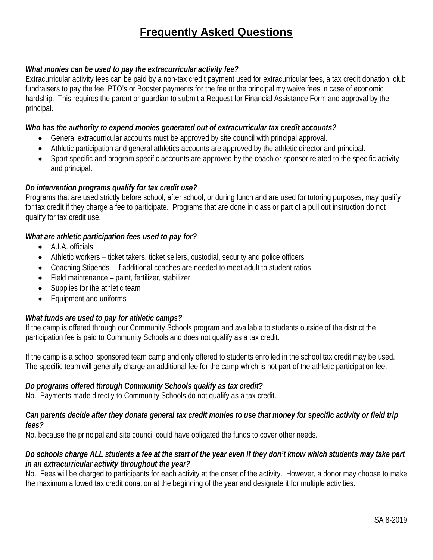# **Frequently Asked Questions**

### <span id="page-17-0"></span>*What monies can be used to pay the extracurricular activity fee?*

Extracurricular activity fees can be paid by a non-tax credit payment used for extracurricular fees, a tax credit donation, club fundraisers to pay the fee, PTO's or Booster payments for the fee or the principal my waive fees in case of economic hardship. This requires the parent or guardian to submit a Request for Financial Assistance Form and approval by the principal.

### *Who has the authority to expend monies generated out of extracurricular tax credit accounts?*

- General extracurricular accounts must be approved by site council with principal approval.
- Athletic participation and general athletics accounts are approved by the athletic director and principal.
- Sport specific and program specific accounts are approved by the coach or sponsor related to the specific activity and principal.

### *Do intervention programs qualify for tax credit use?*

Programs that are used strictly before school, after school, or during lunch and are used for tutoring purposes, may qualify for tax credit if they charge a fee to participate. Programs that are done in class or part of a pull out instruction do not qualify for tax credit use.

### *What are athletic participation fees used to pay for?*

- A.I.A. officials
- Athletic workers ticket takers, ticket sellers, custodial, security and police officers
- Coaching Stipends if additional coaches are needed to meet adult to student ratios
- Field maintenance paint, fertilizer, stabilizer
- Supplies for the athletic team
- Equipment and uniforms

### *What funds are used to pay for athletic camps?*

If the camp is offered through our Community Schools program and available to students outside of the district the participation fee is paid to Community Schools and does not qualify as a tax credit.

If the camp is a school sponsored team camp and only offered to students enrolled in the school tax credit may be used. The specific team will generally charge an additional fee for the camp which is not part of the athletic participation fee.

### *Do programs offered through Community Schools qualify as tax credit?*

No. Payments made directly to Community Schools do not qualify as a tax credit.

#### *Can parents decide after they donate general tax credit monies to use that money for specific activity or field trip fees?*

No, because the principal and site council could have obligated the funds to cover other needs.

### *Do schools charge ALL students a fee at the start of the year even if they don't know which students may take part in an extracurricular activity throughout the year?*

No. Fees will be charged to participants for each activity at the onset of the activity. However, a donor may choose to make the maximum allowed tax credit donation at the beginning of the year and designate it for multiple activities.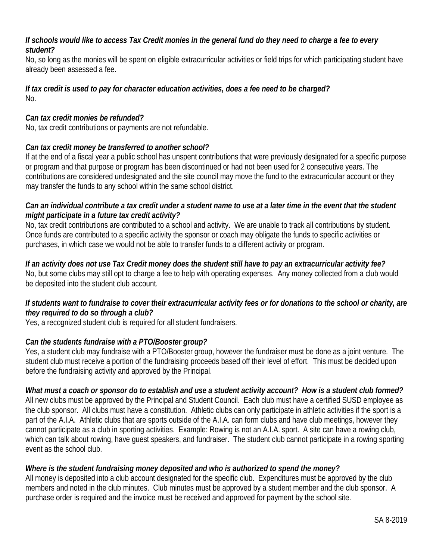### *If schools would like to access Tax Credit monies in the general fund do they need to charge a fee to every student?*

No, so long as the monies will be spent on eligible extracurricular activities or field trips for which participating student have already been assessed a fee.

### *If tax credit is used to pay for character education activities, does a fee need to be charged?* No.

### *Can tax credit monies be refunded?*

No, tax credit contributions or payments are not refundable.

### *Can tax credit money be transferred to another school?*

If at the end of a fiscal year a public school has unspent contributions that were previously designated for a specific purpose or program and that purpose or program has been discontinued or had not been used for 2 consecutive years. The contributions are considered undesignated and the site council may move the fund to the extracurricular account or they may transfer the funds to any school within the same school district.

### *Can an individual contribute a tax credit under a student name to use at a later time in the event that the student might participate in a future tax credit activity?*

No, tax credit contributions are contributed to a school and activity. We are unable to track all contributions by student. Once funds are contributed to a specific activity the sponsor or coach may obligate the funds to specific activities or purchases, in which case we would not be able to transfer funds to a different activity or program.

### *If an activity does not use Tax Credit money does the student still have to pay an extracurricular activity fee?* No, but some clubs may still opt to charge a fee to help with operating expenses. Any money collected from a club would be deposited into the student club account.

### *If students want to fundraise to cover their extracurricular activity fees or for donations to the school or charity, are they required to do so through a club?*

Yes, a recognized student club is required for all student fundraisers.

### *Can the students fundraise with a PTO/Booster group?*

Yes, a student club may fundraise with a PTO/Booster group, however the fundraiser must be done as a joint venture. The student club must receive a portion of the fundraising proceeds based off their level of effort. This must be decided upon before the fundraising activity and approved by the Principal.

### *What must a coach or sponsor do to establish and use a student activity account? How is a student club formed?*

All new clubs must be approved by the Principal and Student Council. Each club must have a certified SUSD employee as the club sponsor. All clubs must have a constitution. Athletic clubs can only participate in athletic activities if the sport is a part of the A.I.A. Athletic clubs that are sports outside of the A.I.A. can form clubs and have club meetings, however they cannot participate as a club in sporting activities. Example: Rowing is not an A.I.A. sport. A site can have a rowing club, which can talk about rowing, have guest speakers, and fundraiser. The student club cannot participate in a rowing sporting event as the school club.

### *Where is the student fundraising money deposited and who is authorized to spend the money?*

All money is deposited into a club account designated for the specific club. Expenditures must be approved by the club members and noted in the club minutes. Club minutes must be approved by a student member and the club sponsor. A purchase order is required and the invoice must be received and approved for payment by the school site.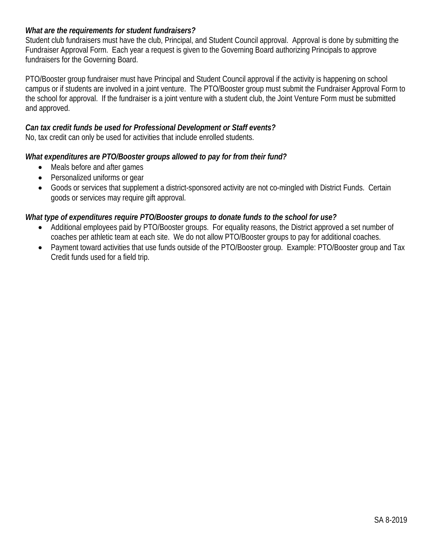### *What are the requirements for student fundraisers?*

Student club fundraisers must have the club, Principal, and Student Council approval. Approval is done by submitting the Fundraiser Approval Form. Each year a request is given to the Governing Board authorizing Principals to approve fundraisers for the Governing Board.

PTO/Booster group fundraiser must have Principal and Student Council approval if the activity is happening on school campus or if students are involved in a joint venture. The PTO/Booster group must submit the Fundraiser Approval Form to the school for approval. If the fundraiser is a joint venture with a student club, the Joint Venture Form must be submitted and approved.

### *Can tax credit funds be used for Professional Development or Staff events?*

No, tax credit can only be used for activities that include enrolled students.

### *What expenditures are PTO/Booster groups allowed to pay for from their fund?*

- Meals before and after games
- Personalized uniforms or gear
- Goods or services that supplement a district-sponsored activity are not co-mingled with District Funds. Certain goods or services may require gift approval.

### *What type of expenditures require PTO/Booster groups to donate funds to the school for use?*

- Additional employees paid by PTO/Booster groups. For equality reasons, the District approved a set number of coaches per athletic team at each site. We do not allow PTO/Booster groups to pay for additional coaches.
- Payment toward activities that use funds outside of the PTO/Booster group. Example: PTO/Booster group and Tax Credit funds used for a field trip.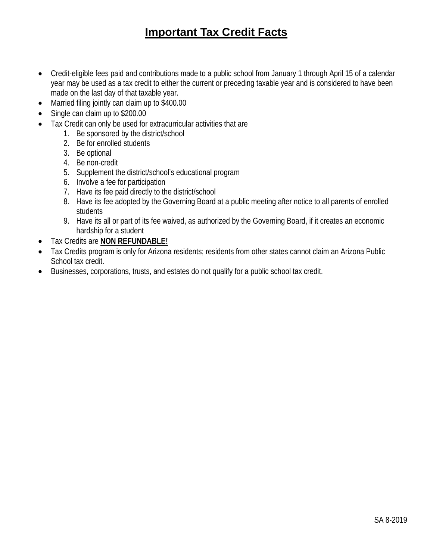# **Important Tax Credit Facts**

- <span id="page-20-0"></span>• Credit-eligible fees paid and contributions made to a public school from January 1 through April 15 of a calendar year may be used as a tax credit to either the current or preceding taxable year and is considered to have been made on the last day of that taxable year.
- Married filing jointly can claim up to \$400.00
- Single can claim up to \$200.00
- Tax Credit can only be used for extracurricular activities that are
	- 1. Be sponsored by the district/school
	- 2. Be for enrolled students
	- 3. Be optional
	- 4. Be non-credit
	- 5. Supplement the district/school's educational program
	- 6. Involve a fee for participation
	- 7. Have its fee paid directly to the district/school
	- 8. Have its fee adopted by the Governing Board at a public meeting after notice to all parents of enrolled students
	- 9. Have its all or part of its fee waived, as authorized by the Governing Board, if it creates an economic hardship for a student
- Tax Credits are **NON REFUNDABLE!**
- Tax Credits program is only for Arizona residents; residents from other states cannot claim an Arizona Public School tax credit.
- Businesses, corporations, trusts, and estates do not qualify for a public school tax credit.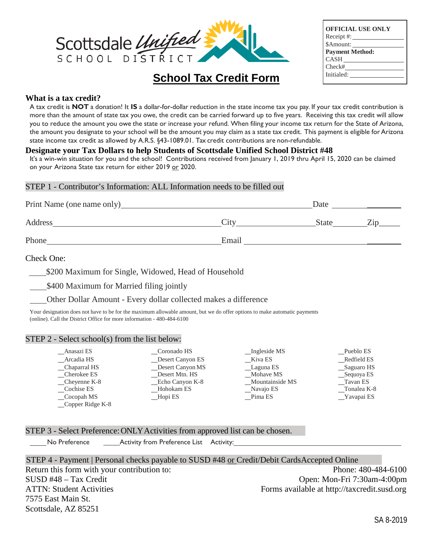

| <b>OFFICIAL USE ONLY</b> |
|--------------------------|
| $Receipt \#:\_$          |
| \$Amount:                |
| <b>Payment Method:</b>   |
| $CASH$ <sub>____</sub>   |
| Check#                   |
| Initialed:               |
|                          |

### **What is a tax credit?**

A tax credit is **NOT** a donation! It **IS** a dollar-for-dollar reduction in the state income tax you pay. If your tax credit contribution is more than the amount of state tax you owe, the credit can be carried forward up to five years. Receiving this tax credit will allow you to reduce the amount you owe the state or increase your refund. When filing your income tax return for the State of Arizona, the amount you designate to your school will be the amount you may claim as a state tax credit. This payment is eligible for Arizona state income tax credit as allowed by A.R.S. §43-1089.01. Tax credit contributions are non-refundable.

<span id="page-21-0"></span>**School Tax Credit Form**

#### **Designate your Tax Dollars to help Students of Scottsdale Unified School District #48**

It's a win-win situation for you and the school! Contributions received from January 1, 2019 thru April 15, 2020 can be claimed on your Arizona State tax return for either 2019 or 2020.

#### STEP 1 - Contributor's Information: ALL Information needs to be filled out

| Print Name (one name only)_ |       | Date         |             |
|-----------------------------|-------|--------------|-------------|
| Address                     | City  | <b>State</b> | $\angle$ in |
| Phone                       | Email |              |             |

#### Check One:

\$200 Maximum for Single, Widowed, Head of Household

\$400 Maximum for Married filing jointly

Other Dollar Amount - Every dollar collected makes a difference

Your designation does not have to be for the maximum allowable amount, but we do offer options to make automatic payments (online). Call the District Office for more information - 480-484-6100

#### STEP 2 - Select school(s) from the list below:

| Anasazi ES       | Coronado HS                | Ingleside MS    | Pueblo ES    |
|------------------|----------------------------|-----------------|--------------|
| Arcadia HS       | Desert Canyon ES           | Kiva ES         | Redfield ES  |
| _Chaparral HS    | $\_\_\_\$ Desert Canyon MS | __Laguna ES     | _Saguaro HS  |
| Cherokee ES      | Desert Mtn. HS             | Mohave MS       | __Sequoya ES |
| Cheyenne K-8     | Echo Canyon K-8            | Mountainside MS | Tavan ES     |
| Cochise ES       | Hohokam ES                 | Navajo ES       | Tonalea K-8  |
| Cocopah MS       | Hopi ES                    | Pima ES         | Yavapai ES   |
| Copper Ridge K-8 |                            |                 |              |

#### STEP 3 - Select Preference: ONLY Activities from approved list can be chosen.

No Preference **Activity from Preference List** Activity:

STEP 4 - Payment | Personal checks payable to SUSD #48 or Credit/Debit CardsAccepted Online Return this form with your contribution to: Phone: 480-484-6100 SUSD #48 – Tax Credit Open: Mon-Fri 7:30am-4:00pm ATTN: Student Activities Forms available at http://taxcredit.susd.org 7575 East Main St. Scottsdale, AZ 85251